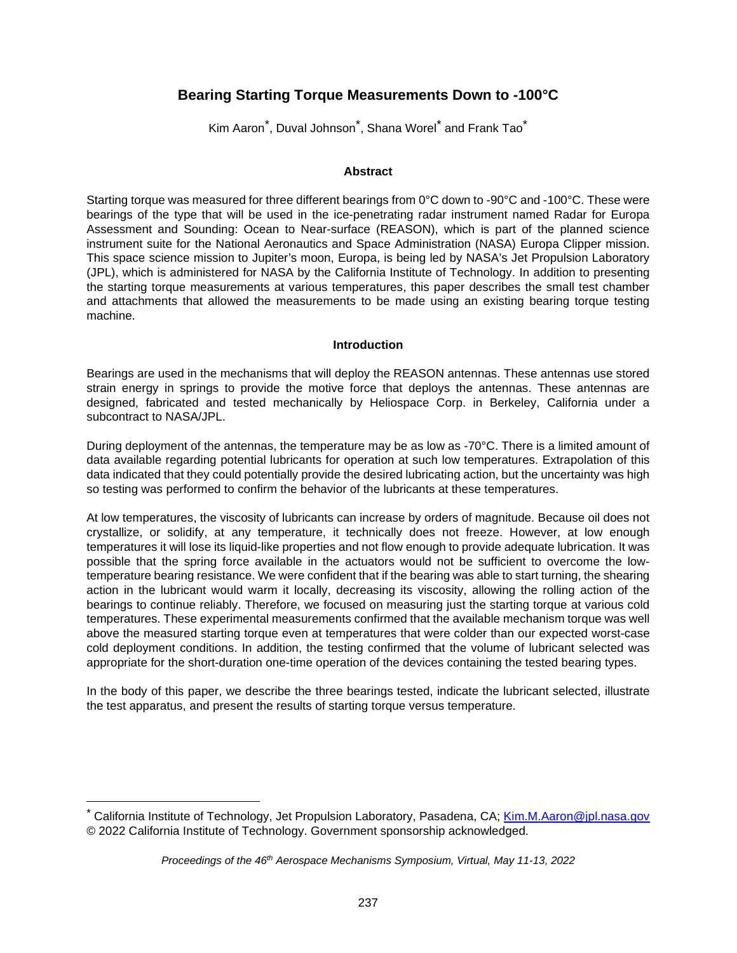# **Bearing Starting Torque Measurements Down to -100°C**

Kim Aaron<sup>[\\*](#page-0-0)</sup>, Duval Johnson<sup>\*</sup>, Shana Worel<sup>\*</sup> and Frank Tao<sup>\*</sup>

#### **Abstract**

Starting torque was measured for three different bearings from 0°C down to -90°C and -100°C. These were bearings of the type that will be used in the ice-penetrating radar instrument named Radar for Europa Assessment and Sounding: Ocean to Near-surface (REASON), which is part of the planned science instrument suite for the National Aeronautics and Space Administration (NASA) Europa Clipper mission. This space science mission to Jupiter's moon, Europa, is being led by NASA's Jet Propulsion Laboratory (JPL), which is administered for NASA by the California Institute of Technology. In addition to presenting the starting torque measurements at various temperatures, this paper describes the small test chamber and attachments that allowed the measurements to be made using an existing bearing torque testing machine.

#### **Introduction**

Bearings are used in the mechanisms that will deploy the REASON antennas. These antennas use stored strain energy in springs to provide the motive force that deploys the antennas. These antennas are designed, fabricated and tested mechanically by Heliospace Corp. in Berkeley, California under a subcontract to NASA/JPL.

During deployment of the antennas, the temperature may be as low as -70°C. There is a limited amount of data available regarding potential lubricants for operation at such low temperatures. Extrapolation of this data indicated that they could potentially provide the desired lubricating action, but the uncertainty was high so testing was performed to confirm the behavior of the lubricants at these temperatures.

At low temperatures, the viscosity of lubricants can increase by orders of magnitude. Because oil does not crystallize, or solidify, at any temperature, it technically does not freeze. However, at low enough temperatures it will lose its liquid-like properties and not flow enough to provide adequate lubrication. It was possible that the spring force available in the actuators would not be sufficient to overcome the lowtemperature bearing resistance. We were confident that if the bearing was able to start turning, the shearing action in the lubricant would warm it locally, decreasing its viscosity, allowing the rolling action of the bearings to continue reliably. Therefore, we focused on measuring just the starting torque at various cold temperatures. These experimental measurements confirmed that the available mechanism torque was well above the measured starting torque even at temperatures that were colder than our expected worst-case cold deployment conditions. In addition, the testing confirmed that the volume of lubricant selected was appropriate for the short-duration one-time operation of the devices containing the tested bearing types.

In the body of this paper, we describe the three bearings tested, indicate the lubricant selected, illustrate the test apparatus, and present the results of starting torque versus temperature.

<span id="page-0-0"></span><sup>\*</sup> California Institute of Technology, Jet Propulsion Laboratory, Pasadena, CA; Kim.M.Aaron@jpl.nasa.gov © 2022 California Institute of Technology. Government sponsorship acknowledged.

*Proceedings of the 46th Aerospace Mechanisms Symposium, Virtual, May 11-13, 2022*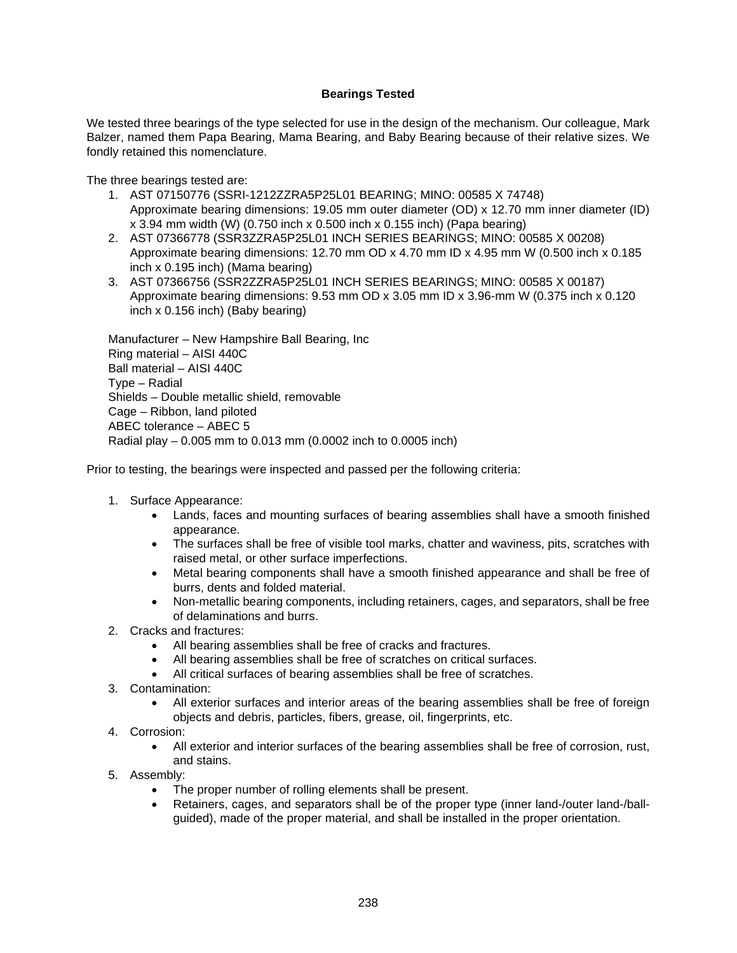# **Bearings Tested**

We tested three bearings of the type selected for use in the design of the mechanism. Our colleague, Mark Balzer, named them Papa Bearing, Mama Bearing, and Baby Bearing because of their relative sizes. We fondly retained this nomenclature.

The three bearings tested are:

- 1. AST 07150776 (SSRI-1212ZZRA5P25L01 BEARING; MINO: 00585 X 74748) Approximate bearing dimensions: 19.05 mm outer diameter (OD) x 12.70 mm inner diameter (ID) x 3.94 mm width (W) (0.750 inch x 0.500 inch x 0.155 inch) (Papa bearing)
- 2. AST 07366778 (SSR3ZZRA5P25L01 INCH SERIES BEARINGS; MINO: 00585 X 00208) Approximate bearing dimensions: 12.70 mm OD x 4.70 mm ID x 4.95 mm W (0.500 inch x 0.185 inch x 0.195 inch) (Mama bearing)
- 3. AST 07366756 (SSR2ZZRA5P25L01 INCH SERIES BEARINGS; MINO: 00585 X 00187) Approximate bearing dimensions: 9.53 mm OD x 3.05 mm ID x 3.96-mm W (0.375 inch x 0.120 inch x 0.156 inch) (Baby bearing)

Manufacturer – New Hampshire Ball Bearing, Inc Ring material – AISI 440C Ball material – AISI 440C Type – Radial Shields – Double metallic shield, removable Cage – Ribbon, land piloted ABEC tolerance – ABEC 5 Radial play – 0.005 mm to 0.013 mm (0.0002 inch to 0.0005 inch)

Prior to testing, the bearings were inspected and passed per the following criteria:

- 1. Surface Appearance:
	- Lands, faces and mounting surfaces of bearing assemblies shall have a smooth finished appearance.
	- The surfaces shall be free of visible tool marks, chatter and waviness, pits, scratches with raised metal, or other surface imperfections.
	- Metal bearing components shall have a smooth finished appearance and shall be free of burrs, dents and folded material.
	- Non-metallic bearing components, including retainers, cages, and separators, shall be free of delaminations and burrs.
- 2. Cracks and fractures:
	- All bearing assemblies shall be free of cracks and fractures.
	- All bearing assemblies shall be free of scratches on critical surfaces.
	- All critical surfaces of bearing assemblies shall be free of scratches.
- 3. Contamination:
	- All exterior surfaces and interior areas of the bearing assemblies shall be free of foreign objects and debris, particles, fibers, grease, oil, fingerprints, etc.
- 4. Corrosion:
	- All exterior and interior surfaces of the bearing assemblies shall be free of corrosion, rust, and stains.
- 5. Assembly:
	- The proper number of rolling elements shall be present.
	- Retainers, cages, and separators shall be of the proper type (inner land-/outer land-/ballguided), made of the proper material, and shall be installed in the proper orientation.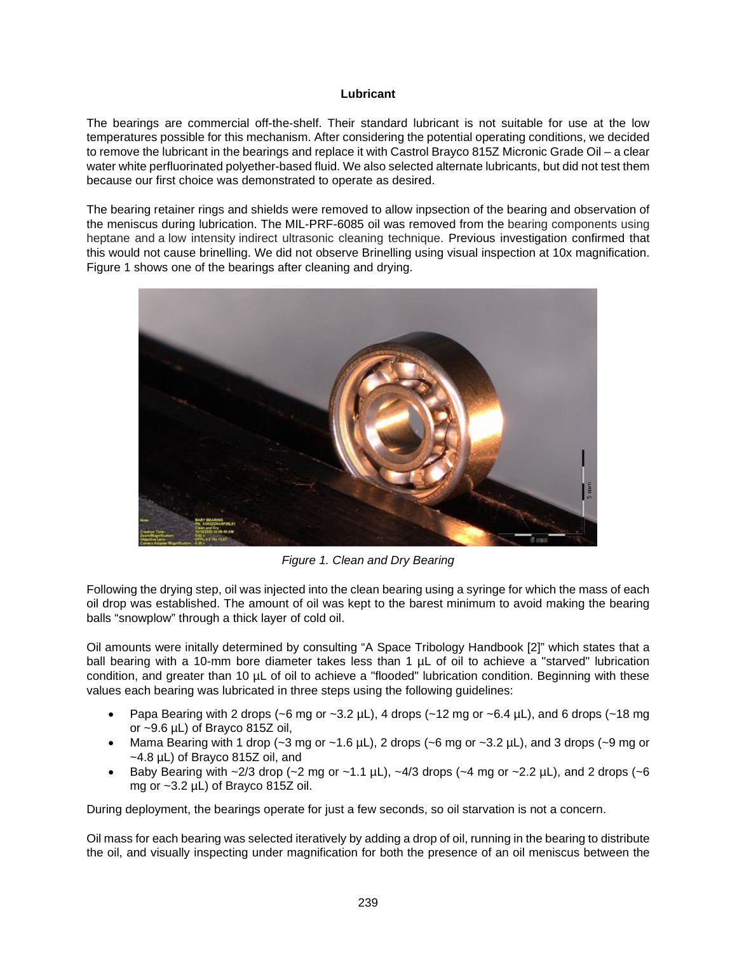### **Lubricant**

The bearings are commercial off-the-shelf. Their standard lubricant is not suitable for use at the low temperatures possible for this mechanism. After considering the potential operating conditions, we decided to remove the lubricant in the bearings and replace it with Castrol Brayco 815Z Micronic Grade Oil – a clear water white perfluorinated polyether-based fluid. We also selected alternate lubricants, but did not test them because our first choice was demonstrated to operate as desired.

The bearing retainer rings and shields were removed to allow inpsection of the bearing and observation of the meniscus during lubrication. The MIL-PRF-6085 oil was removed from the bearing components using heptane and a low intensity indirect ultrasonic cleaning technique. Previous investigation confirmed that this would not cause brinelling. We did not observe Brinelling using visual inspection at 10x magnification. Figure 1 shows one of the bearings after cleaning and drying.



*Figure 1. Clean and Dry Bearing* 

Following the drying step, oil was injected into the clean bearing using a syringe for which the mass of each oil drop was established. The amount of oil was kept to the barest minimum to avoid making the bearing balls "snowplow" through a thick layer of cold oil.

Oil amounts were initally determined by consulting "A Space Tribology Handbook [2]" which states that a ball bearing with a 10-mm bore diameter takes less than 1 µL of oil to achieve a "starved" lubrication condition, and greater than 10 µL of oil to achieve a "flooded" lubrication condition. Beginning with these values each bearing was lubricated in three steps using the following guidelines:

- Papa Bearing with 2 drops (~6 mg or ~3.2  $\mu$ L), 4 drops (~12 mg or ~6.4  $\mu$ L), and 6 drops (~18 mg or ~9.6 µL) of Brayco 815Z oil,
- Mama Bearing with 1 drop ( $\sim$ 3 mg or  $\sim$ 1.6 µL), 2 drops ( $\sim$ 6 mg or  $\sim$ 3.2 µL), and 3 drops ( $\sim$ 9 mg or ~4.8 µL) of Brayco 815Z oil, and
- Baby Bearing with  $\sim$  2/3 drop ( $\sim$ 2 mg or  $\sim$  1.1 µL),  $\sim$  4/3 drops ( $\sim$ 4 mg or  $\sim$  2.2 µL), and 2 drops ( $\sim$ 6 mg or ~3.2 µL) of Brayco 815Z oil.

During deployment, the bearings operate for just a few seconds, so oil starvation is not a concern.

Oil mass for each bearing was selected iteratively by adding a drop of oil, running in the bearing to distribute the oil, and visually inspecting under magnification for both the presence of an oil meniscus between the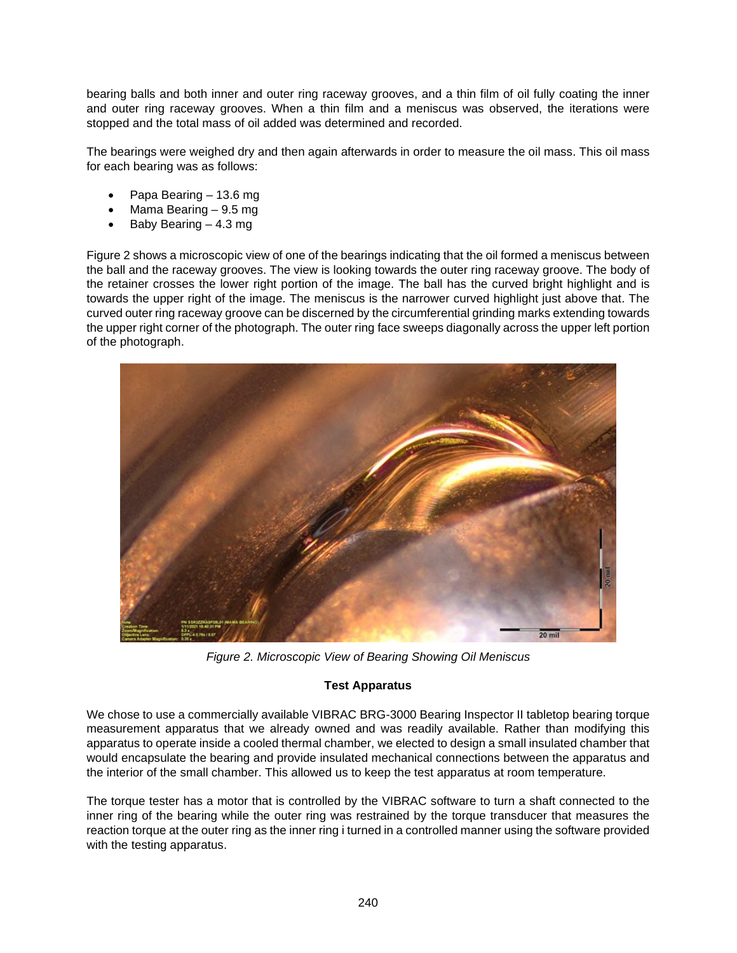bearing balls and both inner and outer ring raceway grooves, and a thin film of oil fully coating the inner and outer ring raceway grooves. When a thin film and a meniscus was observed, the iterations were stopped and the total mass of oil added was determined and recorded.

The bearings were weighed dry and then again afterwards in order to measure the oil mass. This oil mass for each bearing was as follows:

- Papa Bearing 13.6 mg
- Mama Bearing 9.5 mg
- Baby Bearing 4.3 mg

[Figure 2](#page-3-0) shows a microscopic view of one of the bearings indicating that the oil formed a meniscus between the ball and the raceway grooves. The view is looking towards the outer ring raceway groove. The body of the retainer crosses the lower right portion of the image. The ball has the curved bright highlight and is towards the upper right of the image. The meniscus is the narrower curved highlight just above that. The curved outer ring raceway groove can be discerned by the circumferential grinding marks extending towards the upper right corner of the photograph. The outer ring face sweeps diagonally across the upper left portion of the photograph.

<span id="page-3-0"></span>

*Figure 2. Microscopic View of Bearing Showing Oil Meniscus* 

# **Test Apparatus**

We chose to use a commercially available VIBRAC BRG-3000 Bearing Inspector II tabletop bearing torque measurement apparatus that we already owned and was readily available. Rather than modifying this apparatus to operate inside a cooled thermal chamber, we elected to design a small insulated chamber that would encapsulate the bearing and provide insulated mechanical connections between the apparatus and the interior of the small chamber. This allowed us to keep the test apparatus at room temperature.

The torque tester has a motor that is controlled by the VIBRAC software to turn a shaft connected to the inner ring of the bearing while the outer ring was restrained by the torque transducer that measures the reaction torque at the outer ring as the inner ring i turned in a controlled manner using the software provided with the testing apparatus.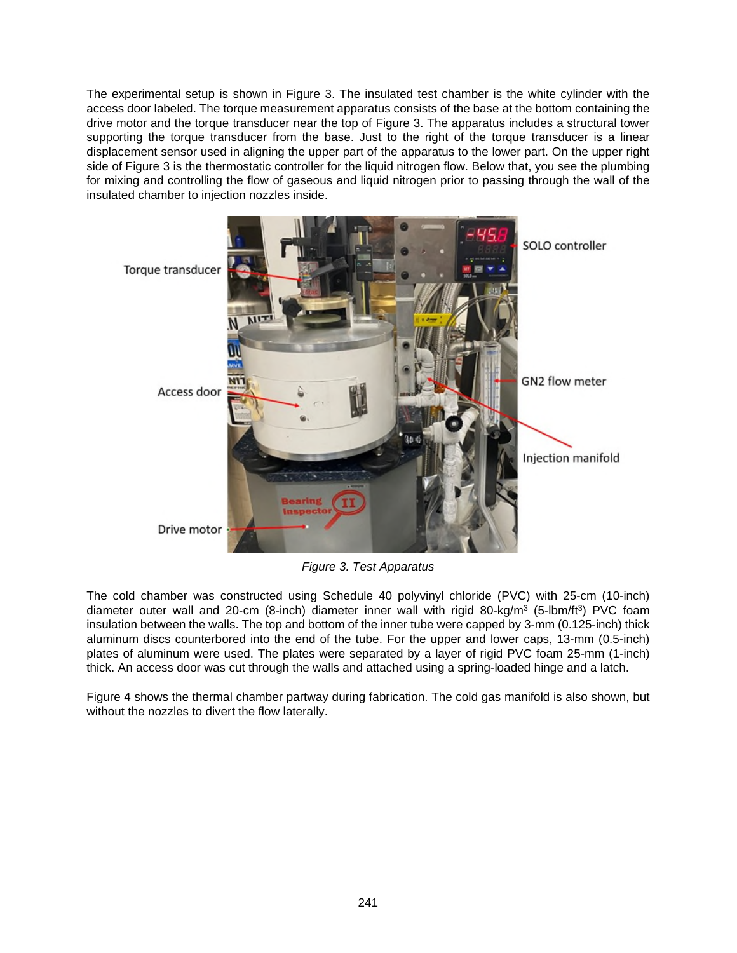The experimental setup is shown in [Figure 3.](#page-4-0) The insulated test chamber is the white cylinder with the access door labeled. The torque measurement apparatus consists of the base at the bottom containing the drive motor and the torque transducer near the top of Figure 3. The apparatus includes a structural tower supporting the torque transducer from the base. Just to the right of the torque transducer is a linear displacement sensor used in aligning the upper part of the apparatus to the lower part. On the upper right side of Figure 3 is the thermostatic controller for the liquid nitrogen flow. Below that, you see the plumbing for mixing and controlling the flow of gaseous and liquid nitrogen prior to passing through the wall of the insulated chamber to injection nozzles inside.

<span id="page-4-0"></span>

*Figure 3. Test Apparatus* 

The cold chamber was constructed using Schedule 40 polyvinyl chloride (PVC) with 25-cm (10-inch) diameter outer wall and 20-cm (8-inch) diameter inner wall with rigid 80-kg/m<sup>3</sup> (5-lbm/ft<sup>3</sup>) PVC foam insulation between the walls. The top and bottom of the inner tube were capped by 3-mm (0.125-inch) thick aluminum discs counterbored into the end of the tube. For the upper and lower caps, 13-mm (0.5-inch) plates of aluminum were used. The plates were separated by a layer of rigid PVC foam 25-mm (1-inch) thick. An access door was cut through the walls and attached using a spring-loaded hinge and a latch.

[Figure 4](#page-5-0) shows the thermal chamber partway during fabrication. The cold gas manifold is also shown, but without the nozzles to divert the flow laterally.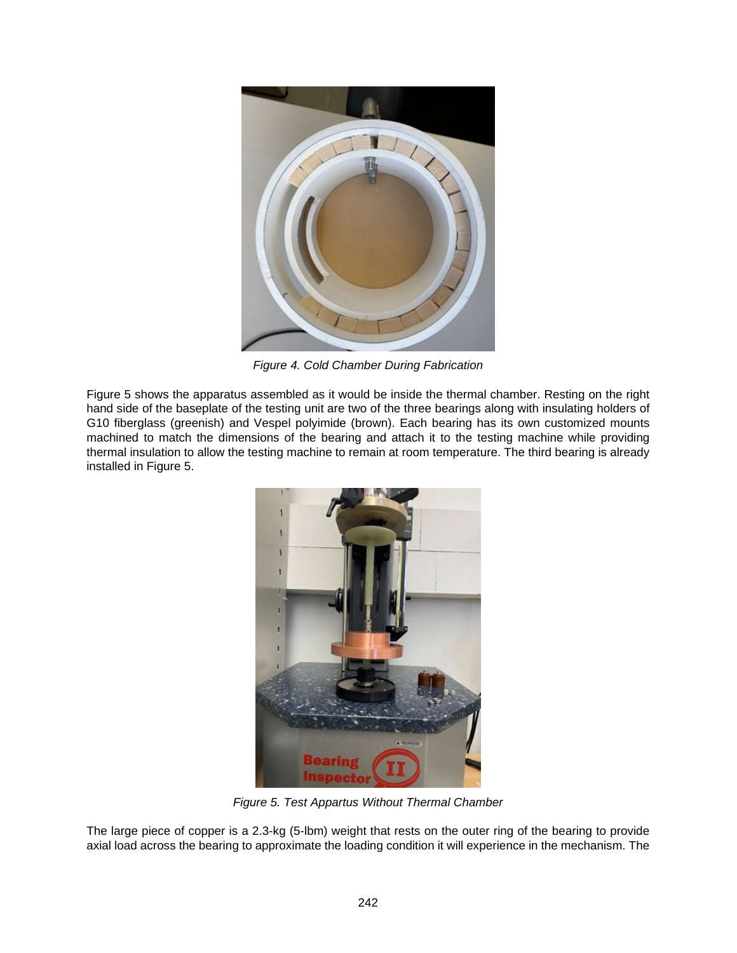<span id="page-5-0"></span>

*Figure 4. Cold Chamber During Fabrication* 

[Figure 5](#page-5-1) shows the apparatus assembled as it would be inside the thermal chamber. Resting on the right hand side of the baseplate of the testing unit are two of the three bearings along with insulating holders of G10 fiberglass (greenish) and Vespel polyimide (brown). Each bearing has its own customized mounts machined to match the dimensions of the bearing and attach it to the testing machine while providing thermal insulation to allow the testing machine to remain at room temperature. The third bearing is already installed in Figure 5.

<span id="page-5-1"></span>

*Figure 5. Test Appartus Without Thermal Chamber* 

The large piece of copper is a 2.3-kg (5-lbm) weight that rests on the outer ring of the bearing to provide axial load across the bearing to approximate the loading condition it will experience in the mechanism. The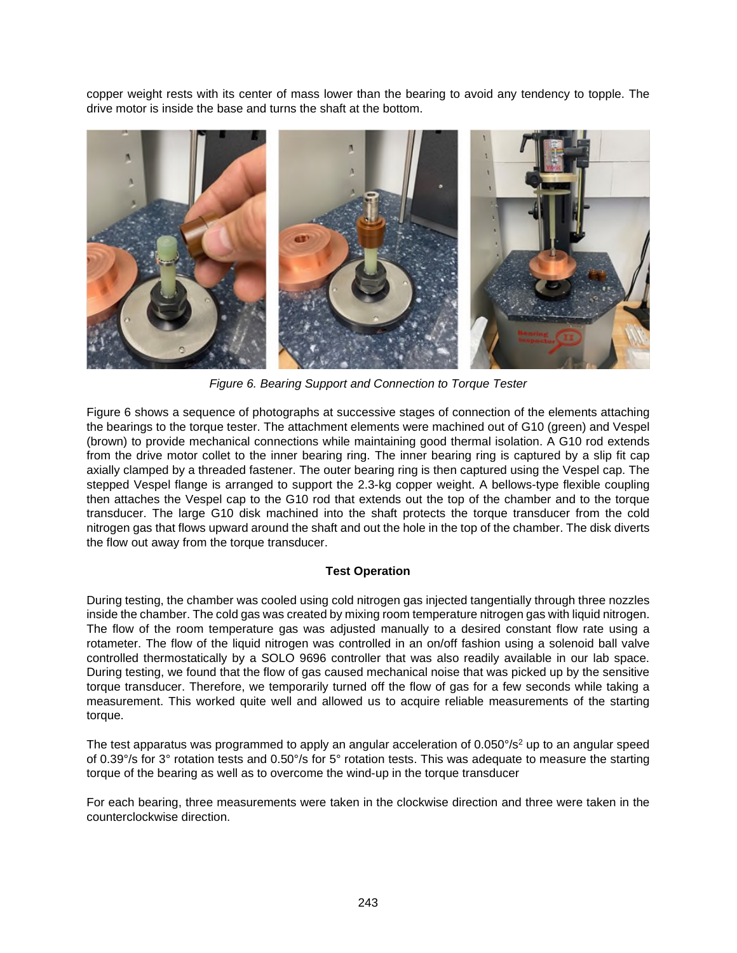<span id="page-6-0"></span>copper weight rests with its center of mass lower than the bearing to avoid any tendency to topple. The drive motor is inside the base and turns the shaft at the bottom.



*Figure 6. Bearing Support and Connection to Torque Tester* 

[Figure 6](#page-6-0) shows a sequence of photographs at successive stages of connection of the elements attaching the bearings to the torque tester. The attachment elements were machined out of G10 (green) and Vespel (brown) to provide mechanical connections while maintaining good thermal isolation. A G10 rod extends from the drive motor collet to the inner bearing ring. The inner bearing ring is captured by a slip fit cap axially clamped by a threaded fastener. The outer bearing ring is then captured using the Vespel cap. The stepped Vespel flange is arranged to support the 2.3-kg copper weight. A bellows-type flexible coupling then attaches the Vespel cap to the G10 rod that extends out the top of the chamber and to the torque transducer. The large G10 disk machined into the shaft protects the torque transducer from the cold nitrogen gas that flows upward around the shaft and out the hole in the top of the chamber. The disk diverts the flow out away from the torque transducer.

# **Test Operation**

During testing, the chamber was cooled using cold nitrogen gas injected tangentially through three nozzles inside the chamber. The cold gas was created by mixing room temperature nitrogen gas with liquid nitrogen. The flow of the room temperature gas was adjusted manually to a desired constant flow rate using a rotameter. The flow of the liquid nitrogen was controlled in an on/off fashion using a solenoid ball valve controlled thermostatically by a SOLO 9696 controller that was also readily available in our lab space. During testing, we found that the flow of gas caused mechanical noise that was picked up by the sensitive torque transducer. Therefore, we temporarily turned off the flow of gas for a few seconds while taking a measurement. This worked quite well and allowed us to acquire reliable measurements of the starting torque.

The test apparatus was programmed to apply an angular acceleration of 0.050°/s<sup>2</sup> up to an angular speed of 0.39°/s for 3° rotation tests and 0.50°/s for 5° rotation tests. This was adequate to measure the starting torque of the bearing as well as to overcome the wind-up in the torque transducer

For each bearing, three measurements were taken in the clockwise direction and three were taken in the counterclockwise direction.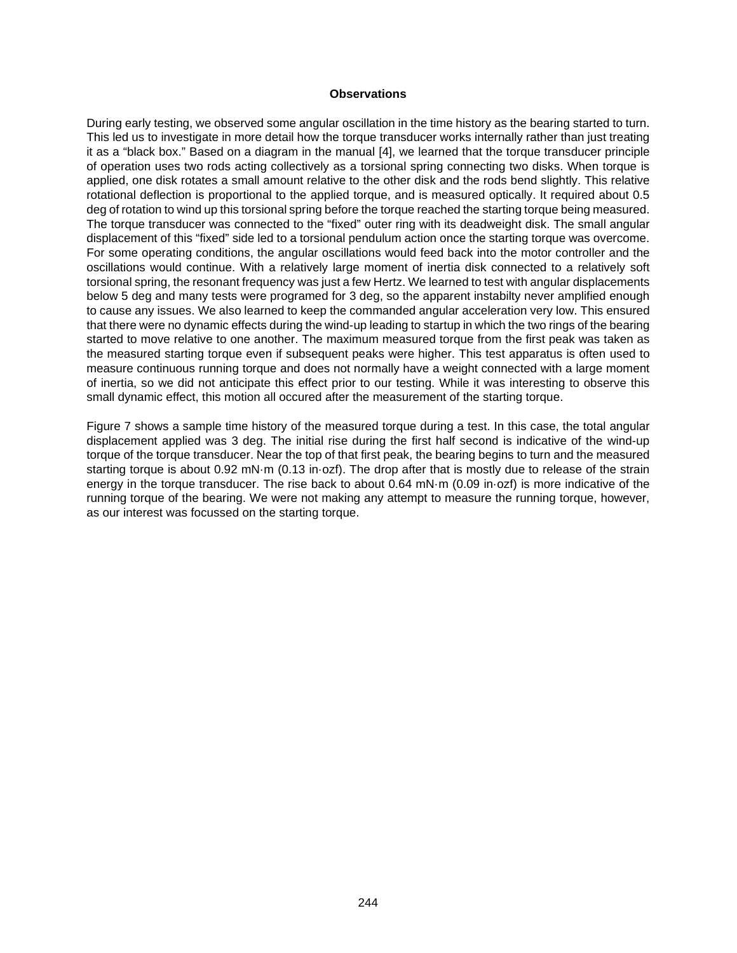### **Observations**

During early testing, we observed some angular oscillation in the time history as the bearing started to turn. This led us to investigate in more detail how the torque transducer works internally rather than just treating it as a "black box." Based on a diagram in the manual [4], we learned that the torque transducer principle of operation uses two rods acting collectively as a torsional spring connecting two disks. When torque is applied, one disk rotates a small amount relative to the other disk and the rods bend slightly. This relative rotational deflection is proportional to the applied torque, and is measured optically. It required about 0.5 deg of rotation to wind up this torsional spring before the torque reached the starting torque being measured. The torque transducer was connected to the "fixed" outer ring with its deadweight disk. The small angular displacement of this "fixed" side led to a torsional pendulum action once the starting torque was overcome. For some operating conditions, the angular oscillations would feed back into the motor controller and the oscillations would continue. With a relatively large moment of inertia disk connected to a relatively soft torsional spring, the resonant frequency was just a few Hertz. We learned to test with angular displacements below 5 deg and many tests were programed for 3 deg, so the apparent instabilty never amplified enough to cause any issues. We also learned to keep the commanded angular acceleration very low. This ensured that there were no dynamic effects during the wind-up leading to startup in which the two rings of the bearing started to move relative to one another. The maximum measured torque from the first peak was taken as the measured starting torque even if subsequent peaks were higher. This test apparatus is often used to measure continuous running torque and does not normally have a weight connected with a large moment of inertia, so we did not anticipate this effect prior to our testing. While it was interesting to observe this small dynamic effect, this motion all occured after the measurement of the starting torque.

[Figure 7](#page-8-0) shows a sample time history of the measured torque during a test. In this case, the total angular displacement applied was 3 deg. The initial rise during the first half second is indicative of the wind-up torque of the torque transducer. Near the top of that first peak, the bearing begins to turn and the measured starting torque is about 0.92 mN·m (0.13 in·ozf). The drop after that is mostly due to release of the strain energy in the torque transducer. The rise back to about 0.64 mN·m (0.09 in·ozf) is more indicative of the running torque of the bearing. We were not making any attempt to measure the running torque, however, as our interest was focussed on the starting torque.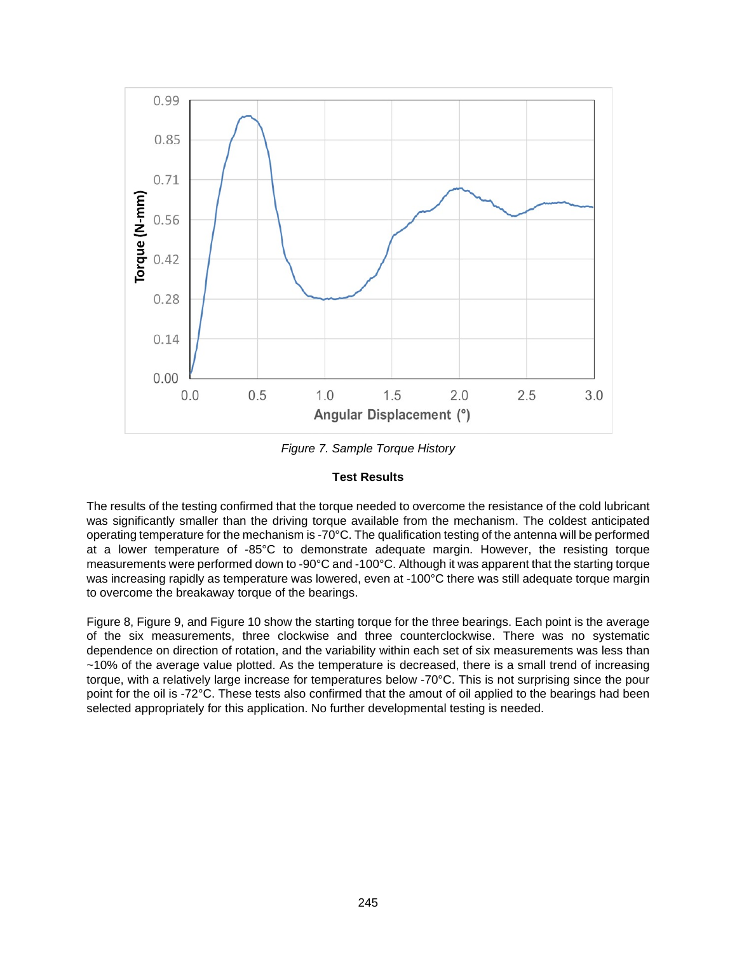<span id="page-8-0"></span>

*Figure 7. Sample Torque History* 

### **Test Results**

The results of the testing confirmed that the torque needed to overcome the resistance of the cold lubricant was significantly smaller than the driving torque available from the mechanism. The coldest anticipated operating temperature for the mechanism is -70°C. The qualification testing of the antenna will be performed at a lower temperature of -85°C to demonstrate adequate margin. However, the resisting torque measurements were performed down to -90°C and -100°C. Although it was apparent that the starting torque was increasing rapidly as temperature was lowered, even at -100°C there was still adequate torque margin to overcome the breakaway torque of the bearings.

[Figure 8, Figure 9, and Figure 10 show the starting torque for the three bearings. Each point is the average](#page-9-0)  of the six measurements, three clockwise and three counterclockwise. There was no systematic dependence on direction of rotation, and the variability within each set of six measurements was less than ~10% of the average value plotted. As the temperature is decreased, there is a small trend of increasing torque, with a relatively large increase for temperatures below -70°C. This is not surprising since the pour point for the oil is -72°C. These tests also confirmed that the amout of oil applied to the bearings had been selected appropriately for this application. No further developmental testing is needed.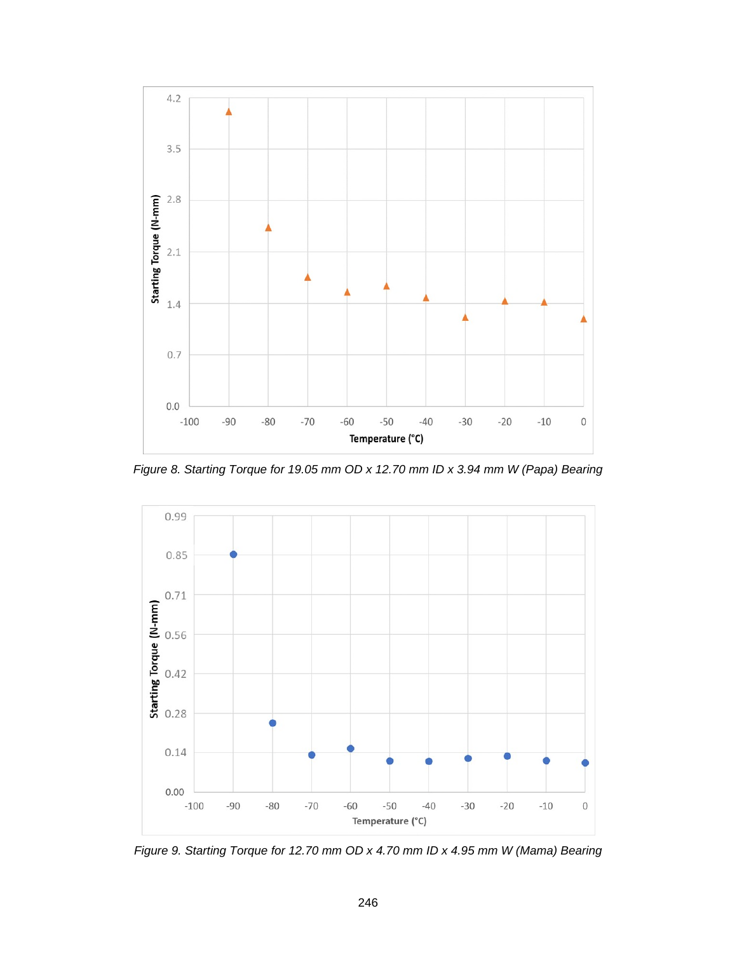<span id="page-9-0"></span>

*Figure 8. Starting Torque for 19.05 mm OD x 12.70 mm ID x 3.94 mm W (Papa) Bearing* 

<span id="page-9-1"></span>

*Figure 9. Starting Torque for 12.70 mm OD x 4.70 mm ID x 4.95 mm W (Mama) Bearing*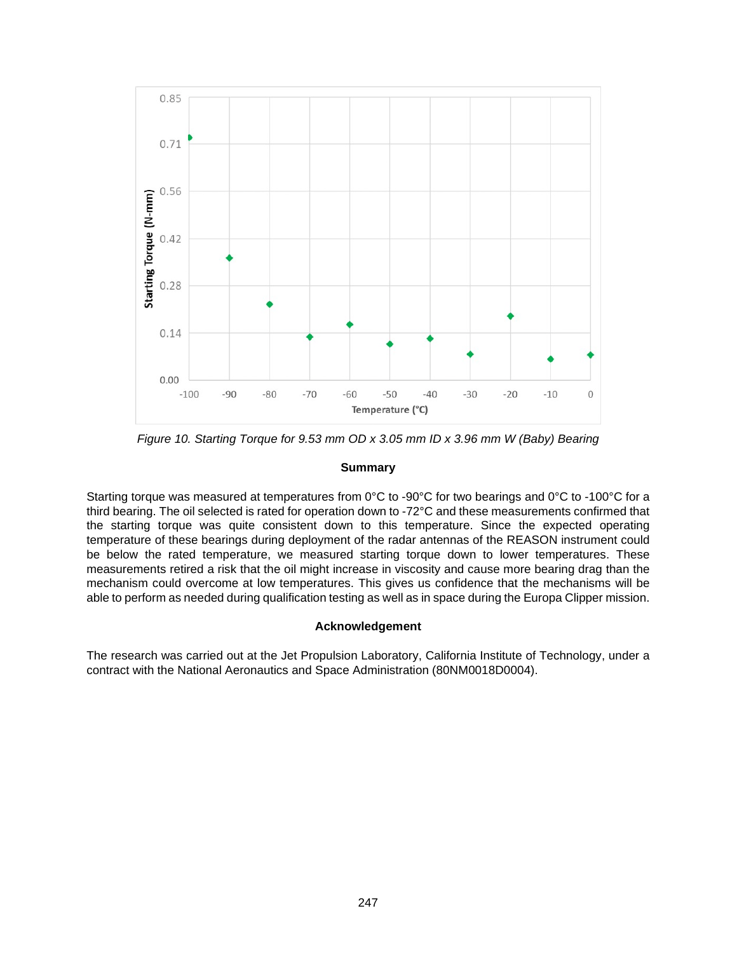<span id="page-10-0"></span>

*Figure 10. Starting Torque for 9.53 mm OD x 3.05 mm ID x 3.96 mm W (Baby) Bearing* 

## **Summary**

Starting torque was measured at temperatures from 0°C to -90°C for two bearings and 0°C to -100°C for a third bearing. The oil selected is rated for operation down to -72°C and these measurements confirmed that the starting torque was quite consistent down to this temperature. Since the expected operating temperature of these bearings during deployment of the radar antennas of the REASON instrument could be below the rated temperature, we measured starting torque down to lower temperatures. These measurements retired a risk that the oil might increase in viscosity and cause more bearing drag than the mechanism could overcome at low temperatures. This gives us confidence that the mechanisms will be able to perform as needed during qualification testing as well as in space during the Europa Clipper mission.

# **Acknowledgement**

The research was carried out at the Jet Propulsion Laboratory, California Institute of Technology, under a contract with the National Aeronautics and Space Administration (80NM0018D0004).